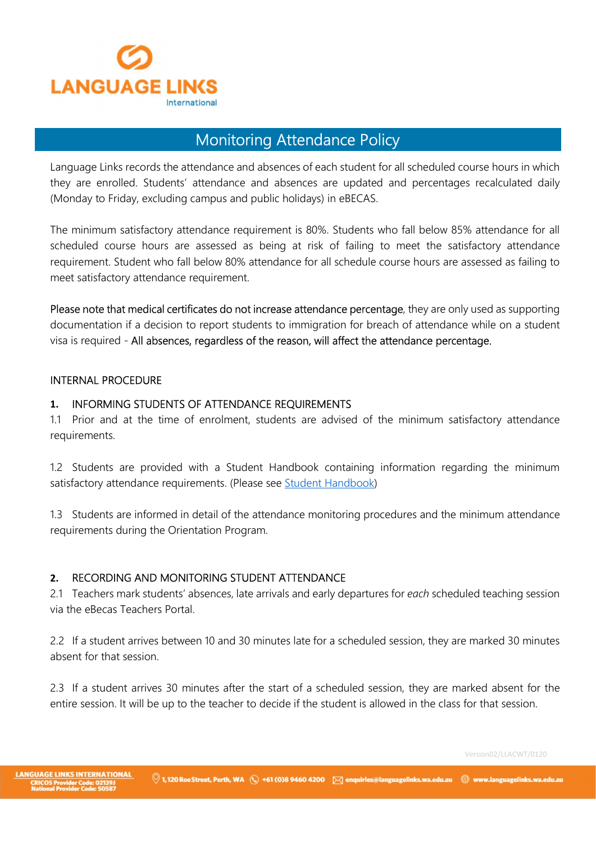

# Monitoring Attendance Policy

Language Links records the attendance and absences of each student for all scheduled course hours in which they are enrolled. Students' attendance and absences are updated and percentages recalculated daily (Monday to Friday, excluding campus and public holidays) in eBECAS.

The minimum satisfactory attendance requirement is 80%. Students who fall below 85% attendance for all scheduled course hours are assessed as being at risk of failing to meet the satisfactory attendance requirement. Student who fall below 80% attendance for all schedule course hours are assessed as failing to meet satisfactory attendance requirement.

Please note that medical certificates do not increase attendance percentage, they are only used as supporting documentation if a decision to report students to immigration for breach of attendance while on a student visa is required - All absences, regardless of the reason, will affect the attendance percentage.

# INTERNAL PROCEDURE

#### 1. INFORMING STUDENTS OF ATTENDANCE REQUIREMENTS

1.1 Prior and at the time of enrolment, students are advised of the minimum satisfactory attendance requirements.

1.2 Students are provided with a Student Handbook containing information regarding the minimum satisfactory attendance requirements. (Please see Student Handbook)

1.3 Students are informed in detail of the attendance monitoring procedures and the minimum attendance requirements during the Orientation Program.

# 2. RECORDING AND MONITORING STUDENT ATTENDANCE

2.1 Teachers mark students' absences, late arrivals and early departures for each scheduled teaching session via the eBecas Teachers Portal.

2.2 If a student arrives between 10 and 30 minutes late for a scheduled session, they are marked 30 minutes absent for that session.

2.3 If a student arrives 30 minutes after the start of a scheduled session, they are marked absent for the entire session. It will be up to the teacher to decide if the student is allowed in the class for that session.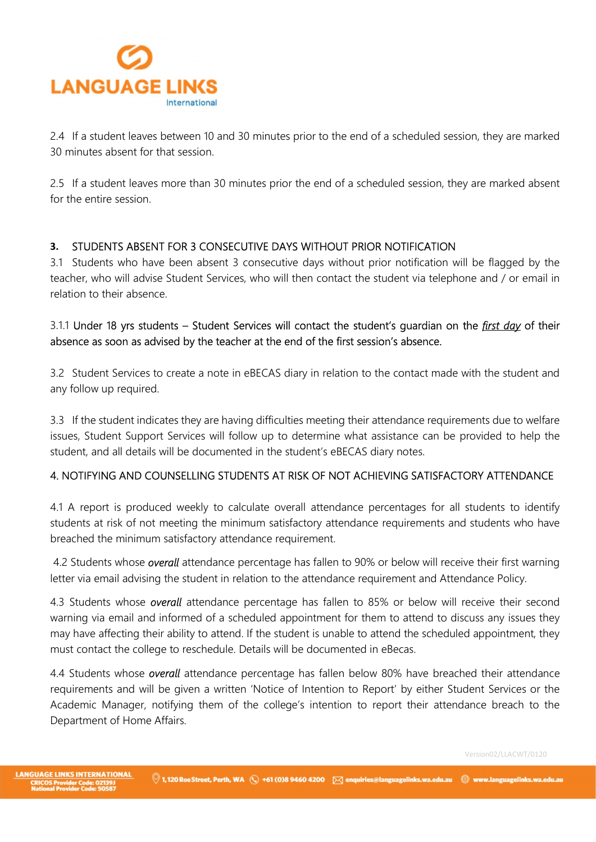

2.4 If a student leaves between 10 and 30 minutes prior to the end of a scheduled session, they are marked 30 minutes absent for that session.

2.5 If a student leaves more than 30 minutes prior the end of a scheduled session, they are marked absent for the entire session.

# 3. STUDENTS ABSENT FOR 3 CONSECUTIVE DAYS WITHOUT PRIOR NOTIFICATION

3.1 Students who have been absent 3 consecutive days without prior notification will be flagged by the teacher, who will advise Student Services, who will then contact the student via telephone and / or email in relation to their absence.

# 3.1.1 Under 18 yrs students – Student Services will contact the student's quardian on the first day of their absence as soon as advised by the teacher at the end of the first session's absence.

3.2 Student Services to create a note in eBECAS diary in relation to the contact made with the student and any follow up required.

3.3 If the student indicates they are having difficulties meeting their attendance requirements due to welfare issues, Student Support Services will follow up to determine what assistance can be provided to help the student, and all details will be documented in the student's eBECAS diary notes.

# 4. NOTIFYING AND COUNSELLING STUDENTS AT RISK OF NOT ACHIEVING SATISFACTORY ATTENDANCE

4.1 A report is produced weekly to calculate overall attendance percentages for all students to identify students at risk of not meeting the minimum satisfactory attendance requirements and students who have breached the minimum satisfactory attendance requirement.

4.2 Students whose **overall** attendance percentage has fallen to 90% or below will receive their first warning letter via email advising the student in relation to the attendance requirement and Attendance Policy.

4.3 Students whose **overall** attendance percentage has fallen to 85% or below will receive their second warning via email and informed of a scheduled appointment for them to attend to discuss any issues they may have affecting their ability to attend. If the student is unable to attend the scheduled appointment, they must contact the college to reschedule. Details will be documented in eBecas.

4.4 Students whose *overall* attendance percentage has fallen below 80% have breached their attendance requirements and will be given a written 'Notice of Intention to Report' by either Student Services or the Academic Manager, notifying them of the college's intention to report their attendance breach to the Department of Home Affairs.